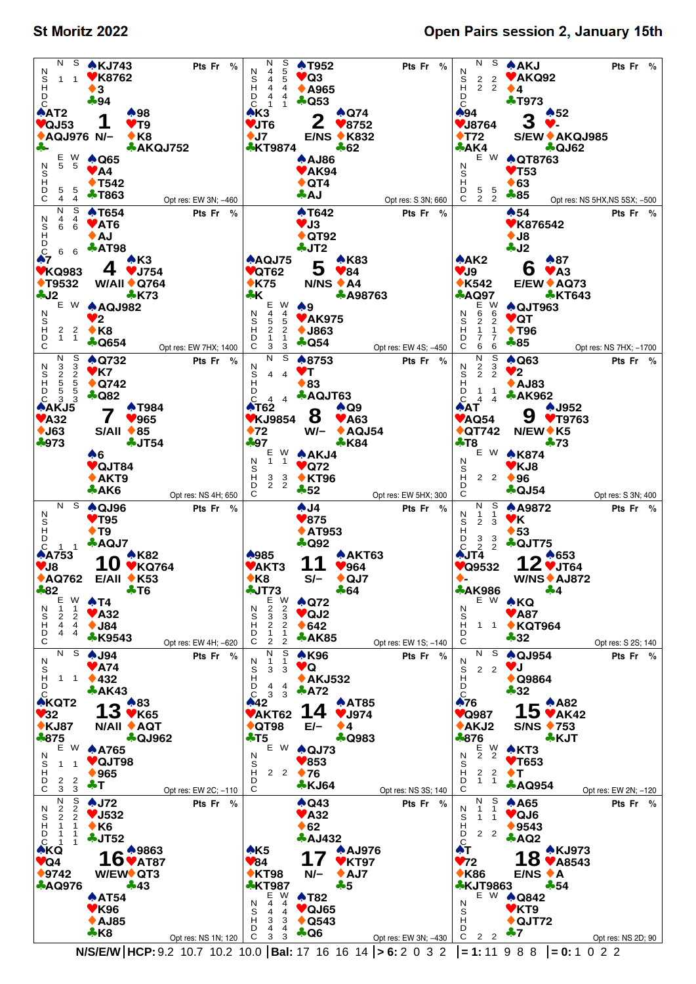